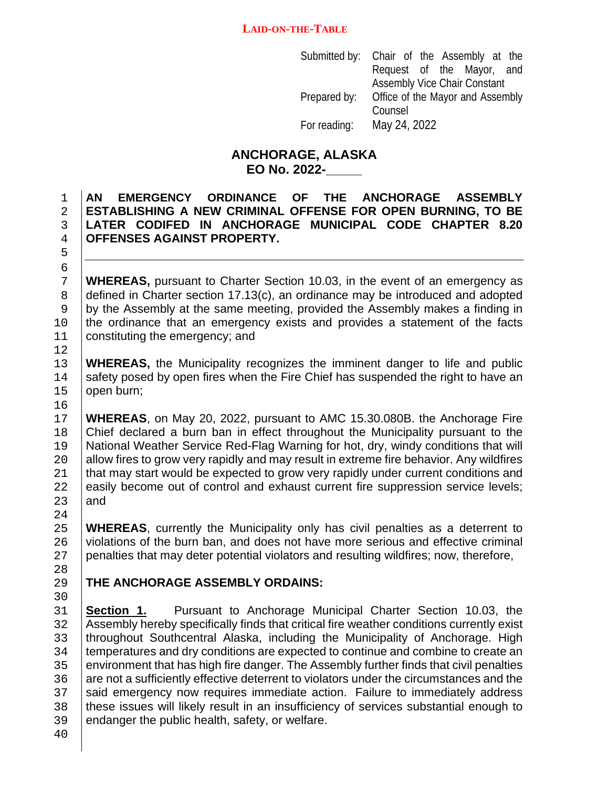Submitted by: Chair of the Assembly at the Request of the Mayor, and Assembly Vice Chair Constant Prepared by: Office of the Mayor and Assembly Counsel For reading: May 24, 2022

## **ANCHORAGE, ALASKA EO No. 2022-\_\_\_\_\_**

 **AN EMERGENCY ORDINANCE OF THE ANCHORAGE ASSEMBLY ESTABLISHING A NEW CRIMINAL OFFENSE FOR OPEN BURNING, TO BE LATER CODIFED IN ANCHORAGE MUNICIPAL CODE CHAPTER 8.20 OFFENSES AGAINST PROPERTY.**

5 6<br>7

 $\begin{array}{c} 12 \\ 13 \end{array}$ 

16<br>17

24<br>25

28<br>29

7 **WHEREAS,** pursuant to Charter Section 10.03, in the event of an emergency as defined in Charter section 17.13(c), an ordinance may be introduced and adopted 8 defined in Charter section 17.13(c), an ordinance may be introduced and adopted by the Assembly at the same meeting, provided the Assembly makes a finding in 9 by the Assembly at the same meeting, provided the Assembly makes a finding in the ordinance that an emergency exists and provides a statement of the facts 10 the ordinance that an emergency exists and provides a statement of the facts  $\frac{11}{2}$  constituting the emergency: and constituting the emergency; and

13 **WHEREAS,** the Municipality recognizes the imminent danger to life and public safety posed by open fires when the Fire Chief has suspended the right to have an 14 safety posed by open fires when the Fire Chief has suspended the right to have an 15 open burn; open burn;

17 **WHEREAS**, on May 20, 2022, pursuant to AMC 15.30.080B. the Anchorage Fire<br>18 **Chief declared a burn ban in effect throughout the Municipality pursuant to the** Chief declared a burn ban in effect throughout the Municipality pursuant to the 19 | National Weather Service Red-Flag Warning for hot, dry, windy conditions that will<br>20 | allow fires to grow very rapidly and may result in extreme fire behavior. Any wildfires 20 allow fires to grow very rapidly and may result in extreme fire behavior. Any wildfires<br>21 that may start would be expected to grow very rapidly under current conditions and 21 that may start would be expected to grow very rapidly under current conditions and 22 easily become out of control and exhaust current fire suppression service levels; 22 easily become out of control and exhaust current fire suppression service levels;<br>23 and and

25 **WHEREAS**, currently the Municipality only has civil penalties as a deterrent to 26 violations of the burn ban, and does not have more serious and effective criminal 26 violations of the burn ban, and does not have more serious and effective criminal<br>27 penalties that may deter potential violators and resulting wildfires; now, therefore, 27 penalties that may deter potential violators and resulting wildfires; now, therefore,

## 29 **THE ANCHORAGE ASSEMBLY ORDAINS:**

30<br>31 31 **Section 1.** Pursuant to Anchorage Municipal Charter Section 10.03, the **SALL Assembly hereby specifically finds that critical fire weather conditions currently exist** 32 Assembly hereby specifically finds that critical fire weather conditions currently exist<br>33 throughout Southcentral Alaska, including the Municipality of Anchorage. High 33 throughout Southcentral Alaska, including the Municipality of Anchorage. High<br>34 temperatures and dry conditions are expected to continue and combine to create an 34 temperatures and dry conditions are expected to continue and combine to create an<br>35 environment that has high fire danger. The Assembly further finds that civil penalties 35 environment that has high fire danger. The Assembly further finds that civil penalties<br>36 are not a sufficiently effective deterrent to violators under the circumstances and the 36 are not a sufficiently effective deterrent to violators under the circumstances and the 37 said emergency now requires immediate action. Failure to immediately address 37 Said emergency now requires immediate action. Failure to immediately address<br>38 I these issues will likely result in an insufficiency of services substantial enough to 38 these issues will likely result in an insufficiency of services substantial enough to <br>39 endanger the public health, safety, or welfare. endanger the public health, safety, or welfare.

40